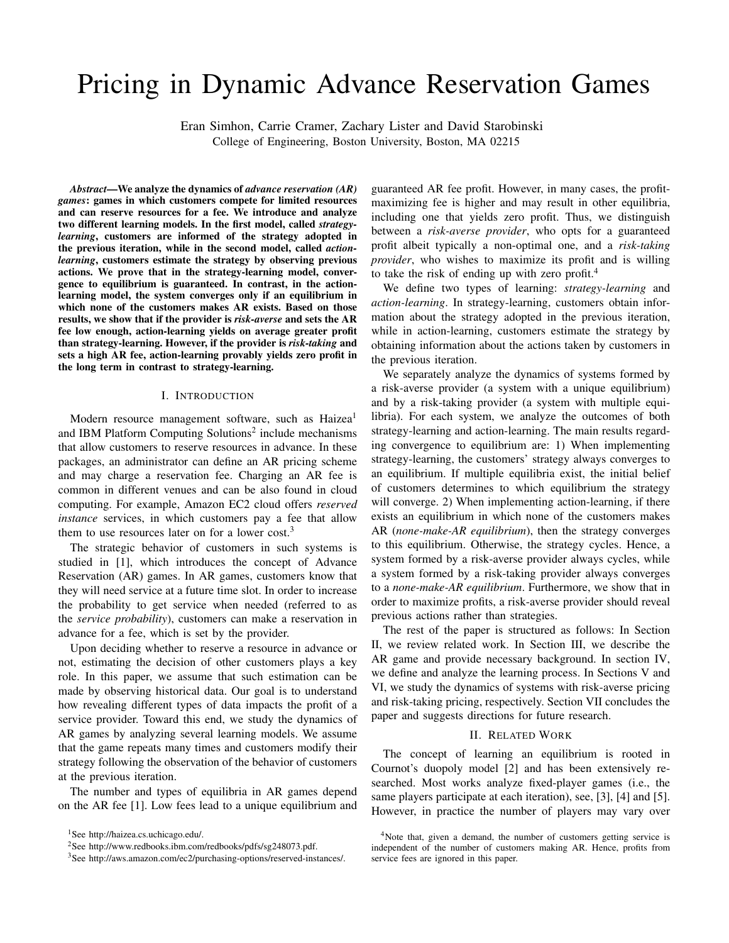# Pricing in Dynamic Advance Reservation Games

Eran Simhon, Carrie Cramer, Zachary Lister and David Starobinski College of Engineering, Boston University, Boston, MA 02215

*Abstract*—We analyze the dynamics of *advance reservation (AR) games*: games in which customers compete for limited resources and can reserve resources for a fee. We introduce and analyze two different learning models. In the first model, called *strategylearning*, customers are informed of the strategy adopted in the previous iteration, while in the second model, called *actionlearning*, customers estimate the strategy by observing previous actions. We prove that in the strategy-learning model, convergence to equilibrium is guaranteed. In contrast, in the actionlearning model, the system converges only if an equilibrium in which none of the customers makes AR exists. Based on those results, we show that if the provider is *risk-averse* and sets the AR fee low enough, action-learning yields on average greater profit than strategy-learning. However, if the provider is *risk-taking* and sets a high AR fee, action-learning provably yields zero profit in the long term in contrast to strategy-learning.

### I. INTRODUCTION

Modern resource management software, such as Haizea<sup>1</sup> and IBM Platform Computing Solutions<sup>2</sup> include mechanisms that allow customers to reserve resources in advance. In these packages, an administrator can define an AR pricing scheme and may charge a reservation fee. Charging an AR fee is common in different venues and can be also found in cloud computing. For example, Amazon EC2 cloud offers *reserved instance* services, in which customers pay a fee that allow them to use resources later on for a lower cost. $3$ 

The strategic behavior of customers in such systems is studied in [1], which introduces the concept of Advance Reservation (AR) games. In AR games, customers know that they will need service at a future time slot. In order to increase the probability to get service when needed (referred to as the *service probability*), customers can make a reservation in advance for a fee, which is set by the provider.

Upon deciding whether to reserve a resource in advance or not, estimating the decision of other customers plays a key role. In this paper, we assume that such estimation can be made by observing historical data. Our goal is to understand how revealing different types of data impacts the profit of a service provider. Toward this end, we study the dynamics of AR games by analyzing several learning models. We assume that the game repeats many times and customers modify their strategy following the observation of the behavior of customers at the previous iteration.

The number and types of equilibria in AR games depend on the AR fee [1]. Low fees lead to a unique equilibrium and guaranteed AR fee profit. However, in many cases, the profitmaximizing fee is higher and may result in other equilibria, including one that yields zero profit. Thus, we distinguish between a *risk-averse provider*, who opts for a guaranteed profit albeit typically a non-optimal one, and a *risk-taking provider*, who wishes to maximize its profit and is willing to take the risk of ending up with zero profit.<sup>4</sup>

We define two types of learning: *strategy-learning* and *action-learning*. In strategy-learning, customers obtain information about the strategy adopted in the previous iteration, while in action-learning, customers estimate the strategy by obtaining information about the actions taken by customers in the previous iteration.

We separately analyze the dynamics of systems formed by a risk-averse provider (a system with a unique equilibrium) and by a risk-taking provider (a system with multiple equilibria). For each system, we analyze the outcomes of both strategy-learning and action-learning. The main results regarding convergence to equilibrium are: 1) When implementing strategy-learning, the customers' strategy always converges to an equilibrium. If multiple equilibria exist, the initial belief of customers determines to which equilibrium the strategy will converge. 2) When implementing action-learning, if there exists an equilibrium in which none of the customers makes AR (*none-make-AR equilibrium*), then the strategy converges to this equilibrium. Otherwise, the strategy cycles. Hence, a system formed by a risk-averse provider always cycles, while a system formed by a risk-taking provider always converges to a *none-make-AR equilibrium*. Furthermore, we show that in order to maximize profits, a risk-averse provider should reveal previous actions rather than strategies.

The rest of the paper is structured as follows: In Section II, we review related work. In Section III, we describe the AR game and provide necessary background. In section IV, we define and analyze the learning process. In Sections V and VI, we study the dynamics of systems with risk-averse pricing and risk-taking pricing, respectively. Section VII concludes the paper and suggests directions for future research.

# II. RELATED WORK

The concept of learning an equilibrium is rooted in Cournot's duopoly model [2] and has been extensively researched. Most works analyze fixed-player games (i.e., the same players participate at each iteration), see, [3], [4] and [5]. However, in practice the number of players may vary over

<sup>&</sup>lt;sup>1</sup>See http://haizea.cs.uchicago.edu/.

<sup>2</sup>See http://www.redbooks.ibm.com/redbooks/pdfs/sg248073.pdf.

<sup>3</sup>See http://aws.amazon.com/ec2/purchasing-options/reserved-instances/.

<sup>&</sup>lt;sup>4</sup>Note that, given a demand, the number of customers getting service is independent of the number of customers making AR. Hence, profits from service fees are ignored in this paper.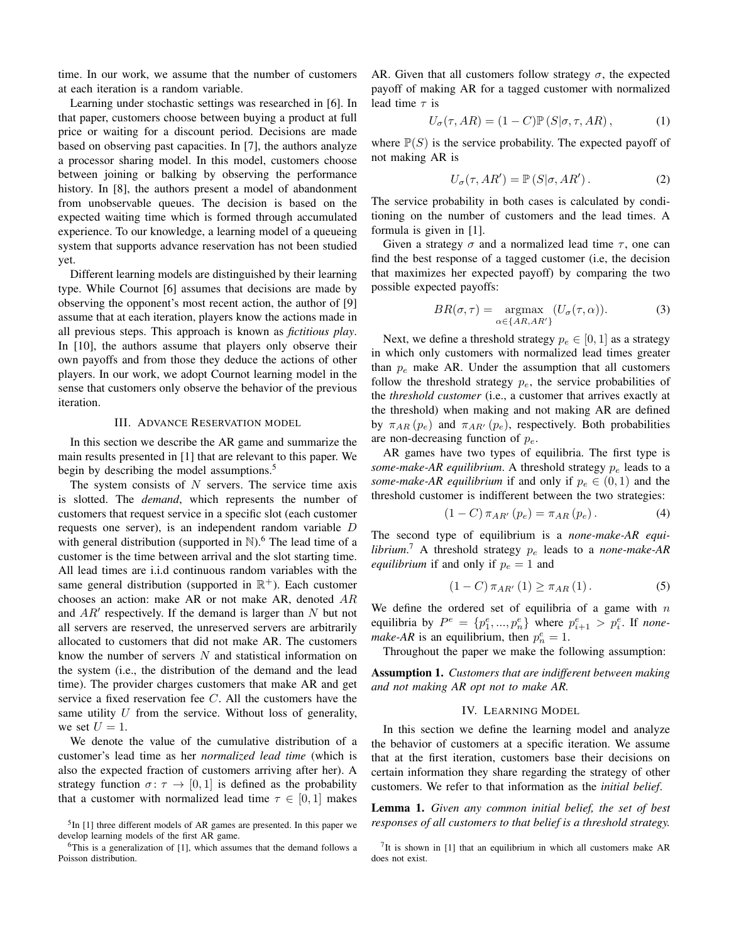time. In our work, we assume that the number of customers at each iteration is a random variable.

Learning under stochastic settings was researched in [6]. In that paper, customers choose between buying a product at full price or waiting for a discount period. Decisions are made based on observing past capacities. In [7], the authors analyze a processor sharing model. In this model, customers choose between joining or balking by observing the performance history. In [8], the authors present a model of abandonment from unobservable queues. The decision is based on the expected waiting time which is formed through accumulated experience. To our knowledge, a learning model of a queueing system that supports advance reservation has not been studied yet.

Different learning models are distinguished by their learning type. While Cournot [6] assumes that decisions are made by observing the opponent's most recent action, the author of [9] assume that at each iteration, players know the actions made in all previous steps. This approach is known as *fictitious play*. In [10], the authors assume that players only observe their own payoffs and from those they deduce the actions of other players. In our work, we adopt Cournot learning model in the sense that customers only observe the behavior of the previous iteration.

# III. ADVANCE RESERVATION MODEL

In this section we describe the AR game and summarize the main results presented in [1] that are relevant to this paper. We begin by describing the model assumptions.<sup>5</sup>

The system consists of  $N$  servers. The service time axis is slotted. The *demand*, which represents the number of customers that request service in a specific slot (each customer requests one server), is an independent random variable D with general distribution (supported in  $\mathbb{N}$ ).<sup>6</sup> The lead time of a customer is the time between arrival and the slot starting time. All lead times are i.i.d continuous random variables with the same general distribution (supported in  $\mathbb{R}^+$ ). Each customer chooses an action: make AR or not make AR, denoted  $AR$ and  $AR'$  respectively. If the demand is larger than  $N$  but not all servers are reserved, the unreserved servers are arbitrarily allocated to customers that did not make AR. The customers know the number of servers N and statistical information on the system (i.e., the distribution of the demand and the lead time). The provider charges customers that make AR and get service a fixed reservation fee C. All the customers have the same utility  $U$  from the service. Without loss of generality, we set  $U = 1$ .

We denote the value of the cumulative distribution of a customer's lead time as her *normalized lead time* (which is also the expected fraction of customers arriving after her). A strategy function  $\sigma: \tau \to [0, 1]$  is defined as the probability that a customer with normalized lead time  $\tau \in [0,1]$  makes AR. Given that all customers follow strategy  $\sigma$ , the expected payoff of making AR for a tagged customer with normalized lead time  $\tau$  is

$$
U_{\sigma}(\tau, AR) = (1 - C) \mathbb{P} \left( S | \sigma, \tau, AR \right), \tag{1}
$$

where  $\mathbb{P}(S)$  is the service probability. The expected payoff of not making AR is

$$
U_{\sigma}(\tau, AR') = \mathbb{P}\left(S|\sigma, AR'\right). \tag{2}
$$

The service probability in both cases is calculated by conditioning on the number of customers and the lead times. A formula is given in [1].

Given a strategy  $\sigma$  and a normalized lead time  $\tau$ , one can find the best response of a tagged customer (i.e, the decision that maximizes her expected payoff) by comparing the two possible expected payoffs:

$$
BR(\sigma, \tau) = \underset{\alpha \in \{AR, AR'\}}{\operatorname{argmax}} (U_{\sigma}(\tau, \alpha)). \tag{3}
$$

Next, we define a threshold strategy  $p_e \in [0, 1]$  as a strategy in which only customers with normalized lead times greater than  $p_e$  make AR. Under the assumption that all customers follow the threshold strategy  $p_e$ , the service probabilities of the *threshold customer* (i.e., a customer that arrives exactly at the threshold) when making and not making AR are defined by  $\pi_{AR}(p_e)$  and  $\pi_{AR}(p_e)$ , respectively. Both probabilities are non-decreasing function of  $p_e$ .

AR games have two types of equilibria. The first type is *some-make-AR equilibrium.* A threshold strategy  $p_e$  leads to a *some-make-AR equilibrium* if and only if  $p_e \in (0,1)$  and the threshold customer is indifferent between the two strategies:

$$
(1 - C) \pi_{AR'} (p_e) = \pi_{AR} (p_e).
$$
 (4)

The second type of equilibrium is a *none-make-AR equilibrium*. <sup>7</sup> A threshold strategy p<sup>e</sup> leads to a *none-make-AR equilibrium* if and only if  $p_e = 1$  and

$$
(1 - C) \pi_{AR'} (1) \ge \pi_{AR} (1).
$$
 (5)

We define the ordered set of equilibria of a game with  $n$ equilibria by  $P^e = \{p_1^e, ..., p_n^e\}$  where  $p_{i+1}^e > p_i^e$ . If *nonemake-AR* is an equilibrium, then  $p_n^e = 1$ .

Throughout the paper we make the following assumption:

Assumption 1. *Customers that are indifferent between making and not making AR opt not to make AR.*

## IV. LEARNING MODEL

In this section we define the learning model and analyze the behavior of customers at a specific iteration. We assume that at the first iteration, customers base their decisions on certain information they share regarding the strategy of other customers. We refer to that information as the *initial belief*.

Lemma 1. *Given any common initial belief, the set of best responses of all customers to that belief is a threshold strategy.*

<sup>&</sup>lt;sup>5</sup>In [1] three different models of AR games are presented. In this paper we develop learning models of the first AR game.

<sup>6</sup>This is a generalization of [1], which assumes that the demand follows a Poisson distribution.

<sup>&</sup>lt;sup>7</sup>It is shown in [1] that an equilibrium in which all customers make AR does not exist.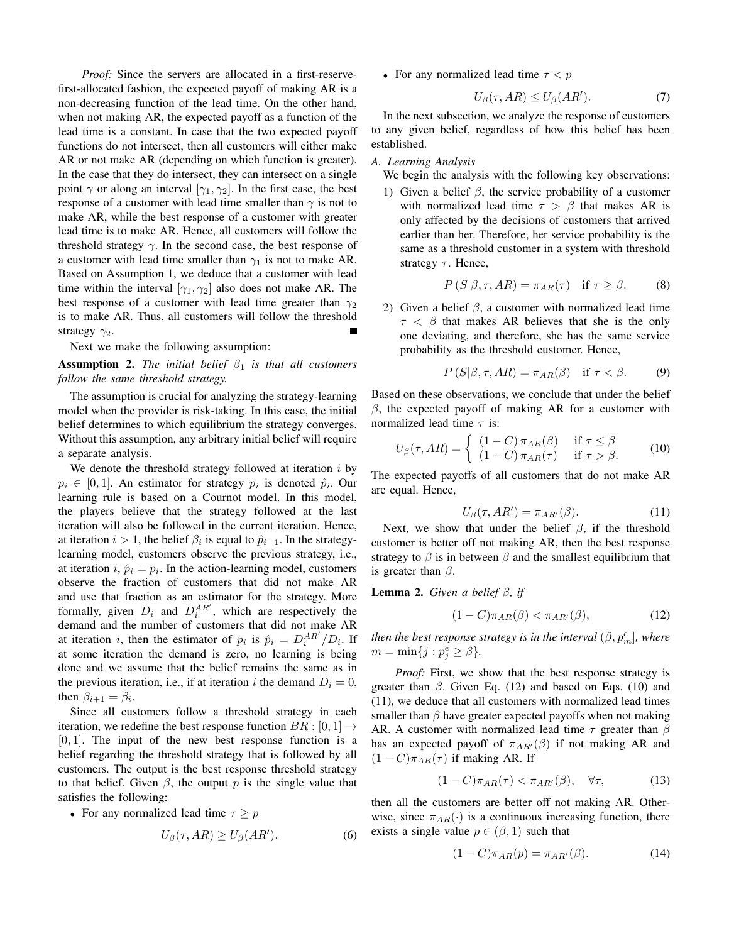*Proof:* Since the servers are allocated in a first-reservefirst-allocated fashion, the expected payoff of making AR is a non-decreasing function of the lead time. On the other hand, when not making AR, the expected payoff as a function of the lead time is a constant. In case that the two expected payoff functions do not intersect, then all customers will either make AR or not make AR (depending on which function is greater). In the case that they do intersect, they can intersect on a single point  $\gamma$  or along an interval  $[\gamma_1, \gamma_2]$ . In the first case, the best response of a customer with lead time smaller than  $\gamma$  is not to make AR, while the best response of a customer with greater lead time is to make AR. Hence, all customers will follow the threshold strategy  $\gamma$ . In the second case, the best response of a customer with lead time smaller than  $\gamma_1$  is not to make AR. Based on Assumption 1, we deduce that a customer with lead time within the interval  $[\gamma_1, \gamma_2]$  also does not make AR. The best response of a customer with lead time greater than  $\gamma_2$ is to make AR. Thus, all customers will follow the threshold strategy  $\gamma_2$ . Е

Next we make the following assumption:

**Assumption 2.** *The initial belief*  $\beta_1$  *is that all customers follow the same threshold strategy.*

The assumption is crucial for analyzing the strategy-learning model when the provider is risk-taking. In this case, the initial belief determines to which equilibrium the strategy converges. Without this assumption, any arbitrary initial belief will require a separate analysis.

We denote the threshold strategy followed at iteration  $i$  by  $p_i \in [0,1]$ . An estimator for strategy  $p_i$  is denoted  $\hat{p}_i$ . Our learning rule is based on a Cournot model. In this model, the players believe that the strategy followed at the last iteration will also be followed in the current iteration. Hence, at iteration  $i > 1$ , the belief  $\beta_i$  is equal to  $\hat{p}_{i-1}$ . In the strategylearning model, customers observe the previous strategy, i.e., at iteration *i*,  $\hat{p}_i = p_i$ . In the action-learning model, customers observe the fraction of customers that did not make AR and use that fraction as an estimator for the strategy. More formally, given  $D_i$  and  $D_i^{AR'}$ , which are respectively the demand and the number of customers that did not make AR at iteration *i*, then the estimator of  $p_i$  is  $\hat{p}_i = D_i^{AR'}/D_i$ . If at some iteration the demand is zero, no learning is being done and we assume that the belief remains the same as in the previous iteration, i.e., if at iteration i the demand  $D_i = 0$ , then  $\beta_{i+1} = \beta_i$ .

Since all customers follow a threshold strategy in each iteration, we redefine the best response function  $BR : [0, 1] \rightarrow$  $[0, 1]$ . The input of the new best response function is a belief regarding the threshold strategy that is followed by all customers. The output is the best response threshold strategy to that belief. Given  $\beta$ , the output p is the single value that satisfies the following:

• For any normalized lead time  $\tau \geq p$ 

$$
U_{\beta}(\tau, AR) \ge U_{\beta}(AR'). \tag{6}
$$

• For any normalized lead time  $\tau < p$ 

$$
U_{\beta}(\tau, AR) \le U_{\beta}(AR'). \tag{7}
$$

In the next subsection, we analyze the response of customers to any given belief, regardless of how this belief has been established.

# *A. Learning Analysis*

We begin the analysis with the following key observations:

1) Given a belief  $\beta$ , the service probability of a customer with normalized lead time  $\tau > \beta$  that makes AR is only affected by the decisions of customers that arrived earlier than her. Therefore, her service probability is the same as a threshold customer in a system with threshold strategy  $\tau$ . Hence,

$$
P(S|\beta, \tau, AR) = \pi_{AR}(\tau) \quad \text{if } \tau \ge \beta. \tag{8}
$$

2) Given a belief  $\beta$ , a customer with normalized lead time  $\tau$  <  $\beta$  that makes AR believes that she is the only one deviating, and therefore, she has the same service probability as the threshold customer. Hence,

$$
P(S|\beta, \tau, AR) = \pi_{AR}(\beta) \quad \text{if } \tau < \beta. \tag{9}
$$

Based on these observations, we conclude that under the belief β, the expected payoff of making AR for a customer with normalized lead time  $\tau$  is:

$$
U_{\beta}(\tau, AR) = \begin{cases} (1 - C) \pi_{AR}(\beta) & \text{if } \tau \le \beta \\ (1 - C) \pi_{AR}(\tau) & \text{if } \tau > \beta. \end{cases}
$$
 (10)

The expected payoffs of all customers that do not make AR are equal. Hence,

$$
U_{\beta}(\tau, AR') = \pi_{AR'}(\beta). \tag{11}
$$

Next, we show that under the belief  $\beta$ , if the threshold customer is better off not making AR, then the best response strategy to  $\beta$  is in between  $\beta$  and the smallest equilibrium that is greater than  $\beta$ .

# Lemma 2. *Given a belief* β*, if*

$$
(1 - C)\pi_{AR}(\beta) < \pi_{AR'}(\beta),\tag{12}
$$

*then the best response strategy is in the interval*  $(\beta, p_m^e]$ *, where*  $m = \min\{j : p_j^e \ge \beta\}.$ 

*Proof:* First, we show that the best response strategy is greater than  $\beta$ . Given Eq. (12) and based on Eqs. (10) and (11), we deduce that all customers with normalized lead times smaller than  $\beta$  have greater expected payoffs when not making AR. A customer with normalized lead time  $\tau$  greater than  $\beta$ has an expected payoff of  $\pi_{AR}(\beta)$  if not making AR and  $(1 - C)\pi_{AR}(\tau)$  if making AR. If

$$
(1 - C)\pi_{AR}(\tau) < \pi_{AR'}(\beta), \quad \forall \tau,\tag{13}
$$

then all the customers are better off not making AR. Otherwise, since  $\pi_{AR}(\cdot)$  is a continuous increasing function, there exists a single value  $p \in (\beta, 1)$  such that

$$
(1 - C)\pi_{AR}(p) = \pi_{AR'}(\beta). \tag{14}
$$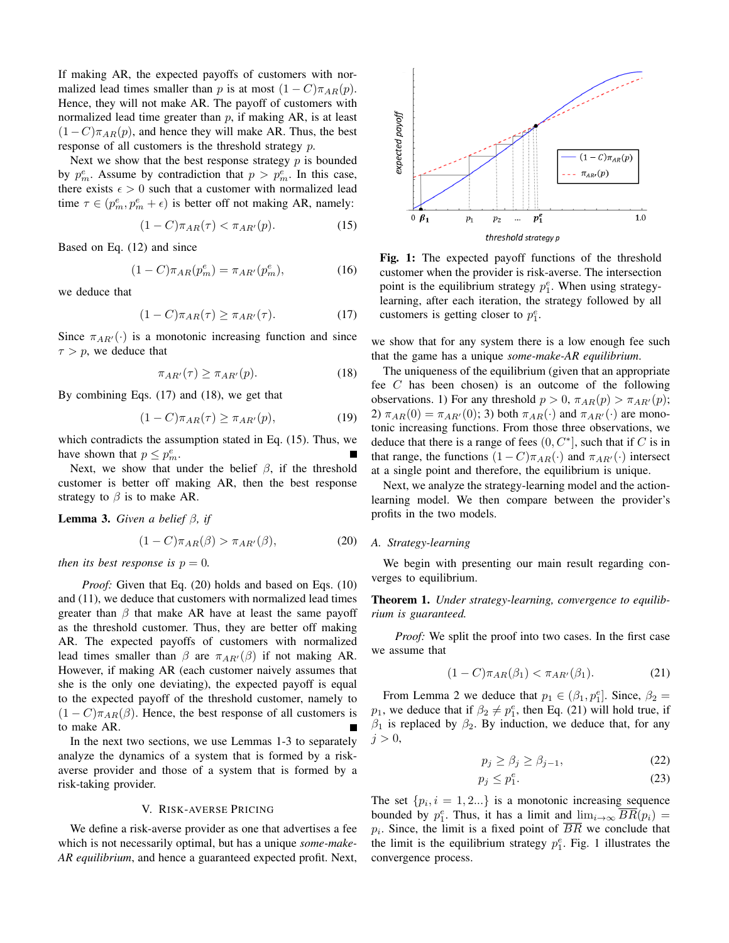If making AR, the expected payoffs of customers with normalized lead times smaller than p is at most  $(1 - C)\pi_{AR}(p)$ . Hence, they will not make AR. The payoff of customers with normalized lead time greater than  $p$ , if making AR, is at least  $(1-C)\pi_{AR}(p)$ , and hence they will make AR. Thus, the best response of all customers is the threshold strategy p.

Next we show that the best response strategy  $p$  is bounded by  $p_m^e$ . Assume by contradiction that  $p > p_m^e$ . In this case, there exists  $\epsilon > 0$  such that a customer with normalized lead time  $\tau \in (p_m^e, p_m^e + \epsilon)$  is better off not making AR, namely:

$$
(1 - C)\pi_{AR}(\tau) < \pi_{AR'}(p). \tag{15}
$$

Based on Eq. (12) and since

$$
(1 - C)\pi_{AR}(p_m^e) = \pi_{AR'}(p_m^e), \tag{16}
$$

we deduce that

$$
(1 - C)\pi_{AR}(\tau) \ge \pi_{AR}(\tau). \tag{17}
$$

Since  $\pi_{AR}(\cdot)$  is a monotonic increasing function and since  $\tau > p$ , we deduce that

$$
\pi_{AR'}(\tau) \ge \pi_{AR'}(p). \tag{18}
$$

By combining Eqs. (17) and (18), we get that

$$
(1 - C)\pi_{AR}(\tau) \ge \pi_{AR'}(p),\tag{19}
$$

which contradicts the assumption stated in Eq. (15). Thus, we have shown that  $p \leq p_m^e$ .

Next, we show that under the belief  $\beta$ , if the threshold customer is better off making AR, then the best response strategy to  $\beta$  is to make AR.

Lemma 3. *Given a belief* β*, if*

$$
(1 - C)\pi_{AR}(\beta) > \pi_{AR'}(\beta), \tag{20}
$$

*then its best response is*  $p = 0$ *.* 

*Proof:* Given that Eq. (20) holds and based on Eqs. (10) and (11), we deduce that customers with normalized lead times greater than  $\beta$  that make AR have at least the same payoff as the threshold customer. Thus, they are better off making AR. The expected payoffs of customers with normalized lead times smaller than  $\beta$  are  $\pi_{AR}(\beta)$  if not making AR. However, if making AR (each customer naively assumes that she is the only one deviating), the expected payoff is equal to the expected payoff of the threshold customer, namely to  $(1 - C)\pi_{AR}(\beta)$ . Hence, the best response of all customers is to make AR.

In the next two sections, we use Lemmas 1-3 to separately analyze the dynamics of a system that is formed by a riskaverse provider and those of a system that is formed by a risk-taking provider.

## V. RISK-AVERSE PRICING

We define a risk-averse provider as one that advertises a fee which is not necessarily optimal, but has a unique *some-make-AR equilibrium*, and hence a guaranteed expected profit. Next,



Fig. 1: The expected payoff functions of the threshold customer when the provider is risk-averse. The intersection point is the equilibrium strategy  $p_1^e$ . When using strategylearning, after each iteration, the strategy followed by all customers is getting closer to  $p_1^e$ .

we show that for any system there is a low enough fee such that the game has a unique *some-make-AR equilibrium*.

The uniqueness of the equilibrium (given that an appropriate fee C has been chosen) is an outcome of the following observations. 1) For any threshold  $p > 0$ ,  $\pi_{AR}(p) > \pi_{AR'}(p)$ ; 2)  $\pi_{AR}(0) = \pi_{AR'}(0)$ ; 3) both  $\pi_{AR}(\cdot)$  and  $\pi_{AR'}(\cdot)$  are monotonic increasing functions. From those three observations, we deduce that there is a range of fees  $(0, C^*]$ , such that if C is in that range, the functions  $(1 - C)\pi_{AR}(\cdot)$  and  $\pi_{AR'}(\cdot)$  intersect at a single point and therefore, the equilibrium is unique.

Next, we analyze the strategy-learning model and the actionlearning model. We then compare between the provider's profits in the two models.

#### *A. Strategy-learning*

We begin with presenting our main result regarding converges to equilibrium.

Theorem 1. *Under strategy-learning, convergence to equilibrium is guaranteed.*

*Proof:* We split the proof into two cases. In the first case we assume that

$$
(1 - C)\pi_{AR}(\beta_1) < \pi_{AR'}(\beta_1). \tag{21}
$$

From Lemma 2 we deduce that  $p_1 \in (\beta_1, p_1^e]$ . Since,  $\beta_2 =$  $p_1$ , we deduce that if  $\beta_2 \neq p_1^e$ , then Eq. (21) will hold true, if  $\beta_1$  is replaced by  $\beta_2$ . By induction, we deduce that, for any  $j > 0$ ,

$$
p_j \ge \beta_j \ge \beta_{j-1},\tag{22}
$$

$$
p_j \le p_1^e. \tag{23}
$$

The set  $\{p_i, i = 1, 2...\}$  is a monotonic increasing sequence bounded by  $p_1^e$ . Thus, it has a limit and  $\lim_{i\to\infty} \overline{BR}(p_i) =$  $p_i$ . Since, the limit is a fixed point of  $\overline{BR}$  we conclude that the limit is the equilibrium strategy  $p_1^e$ . Fig. 1 illustrates the convergence process.

 $\hat{p}$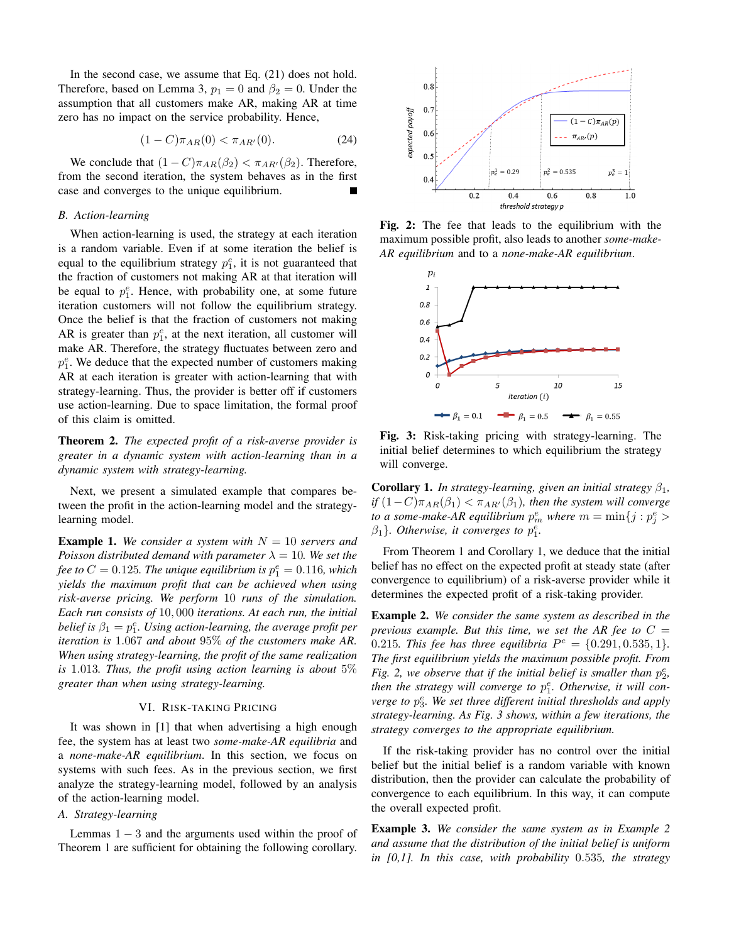In the second case, we assume that Eq. (21) does not hold. Therefore, based on Lemma 3,  $p_1 = 0$  and  $\beta_2 = 0$ . Under the assumption that all customers make AR, making AR at time zero has no impact on the service probability. Hence,

$$
(1 - C)\pi_{AR}(0) < \pi_{AR'}(0). \tag{24}
$$

We conclude that  $(1 - C)\pi_{AR}(\beta_2) < \pi_{AR'}(\beta_2)$ . Therefore, from the second iteration, the system behaves as in the first case and converges to the unique equilibrium.

## *B. Action-learning*

When action-learning is used, the strategy at each iteration is a random variable. Even if at some iteration the belief is equal to the equilibrium strategy  $p_1^e$ , it is not guaranteed that the fraction of customers not making AR at that iteration will be equal to  $p_1^e$ . Hence, with probability one, at some future iteration customers will not follow the equilibrium strategy. Once the belief is that the fraction of customers not making AR is greater than  $p_1^e$ , at the next iteration, all customer will make AR. Therefore, the strategy fluctuates between zero and  $p_1^e$ . We deduce that the expected number of customers making AR at each iteration is greater with action-learning that with strategy-learning. Thus, the provider is better off if customers use action-learning. Due to space limitation, the formal proof of this claim is omitted.

Theorem 2. *The expected profit of a risk-averse provider is greater in a dynamic system with action-learning than in a dynamic system with strategy-learning.*

Next, we present a simulated example that compares between the profit in the action-learning model and the strategylearning model.

**Example 1.** We consider a system with  $N = 10$  servers and *Poisson distributed demand with parameter*  $\lambda = 10$ *. We set the* fee to  $C = 0.125$ . The unique equilibrium is  $p_1^e = 0.116$ , which *yields the maximum profit that can be achieved when using risk-averse pricing. We perform* 10 *runs of the simulation. Each run consists of* 10, 000 *iterations. At each run, the initial belief is*  $\beta_1 = p_1^e$ . Using action-learning, the average profit per *iteration is* 1.067 *and about* 95% *of the customers make AR. When using strategy-learning, the profit of the same realization is* 1.013*. Thus, the profit using action learning is about* 5% *greater than when using strategy-learning.*

## VI. RISK-TAKING PRICING

It was shown in [1] that when advertising a high enough fee, the system has at least two *some-make-AR equilibria* and a *none-make-AR equilibrium*. In this section, we focus on systems with such fees. As in the previous section, we first analyze the strategy-learning model, followed by an analysis of the action-learning model.

# *A. Strategy-learning*

Lemmas  $1 - 3$  and the arguments used within the proof of Theorem 1 are sufficient for obtaining the following corollary.



Fig. 2: The fee that leads to the equilibrium with the maximum possible profit, also leads to another *some-make-AR equilibrium* and to a *none-make-AR equilibrium*.



Fig. 3: Risk-taking pricing with strategy-learning. The initial belief determines to which equilibrium the strategy will converge.

**Corollary 1.** *In strategy-learning, given an initial strategy*  $\beta_1$ *, if*  $(1 - C)\pi_{AR}(\beta_1) < \pi_{AR'}(\beta_1)$ , then the system will converge to a some-make-AR equilibrium  $p_m^e$  where  $m = \min\{j : p_j^e > \}$  $\beta_1$ *}. Otherwise, it converges to*  $p_1^e$ *.* 

From Theorem 1 and Corollary 1, we deduce that the initial belief has no effect on the expected profit at steady state (after convergence to equilibrium) of a risk-averse provider while it determines the expected profit of a risk-taking provider.

Example 2. *We consider the same system as described in the previous example. But this time, we set the AR fee to*  $C =$ 0.215*. This fee has three equilibria*  $P^e = \{0.291, 0.535, 1\}.$ *The first equilibrium yields the maximum possible profit. From Fig.* 2, we observe that if the initial belief is smaller than  $p_2^e$ , then the strategy will converge to  $p_1^e$ . Otherwise, it will converge to  $p_3^e$ . We set three different initial thresholds and apply *strategy-learning. As Fig. 3 shows, within a few iterations, the strategy converges to the appropriate equilibrium.*

If the risk-taking provider has no control over the initial belief but the initial belief is a random variable with known distribution, then the provider can calculate the probability of convergence to each equilibrium. In this way, it can compute the overall expected profit.

Example 3. *We consider the same system as in Example 2 and assume that the distribution of the initial belief is uniform in [0,1]. In this case, with probability* 0.535*, the strategy*